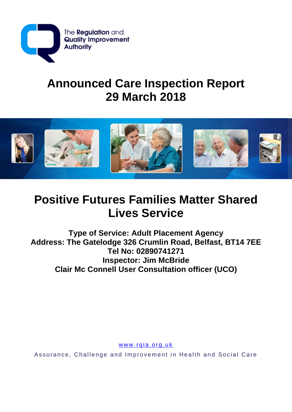

# **Announced Care Inspection Report 29 March 2018**



# **Positive Futures Families Matter Shared Lives Service**

**Type of Service: Adult Placement Agency Address: The Gatelodge 326 Crumlin Road, Belfast, BT14 7EE Tel No: 02890741271 Inspector: Jim McBride Clair Mc Connell User Consultation officer (UCO)**

www.rqia.org.uk

Assurance, Challenge and Improvement in Health and Social Care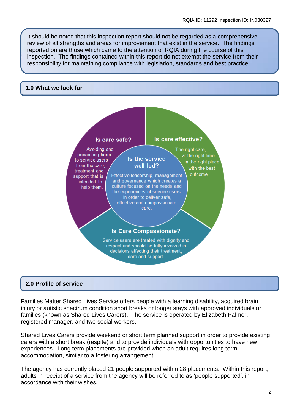It should be noted that this inspection report should not be regarded as a comprehensive review of all strengths and areas for improvement that exist in the service. The findings reported on are those which came to the attention of RQIA during the course of this inspection. The findings contained within this report do not exempt the service from their responsibility for maintaining compliance with legislation, standards and best practice.

## **1.0 What we look for**



## **2.0 Profile of service**

Families Matter Shared Lives Service offers people with a learning disability, acquired brain injury or autistic spectrum condition short breaks or longer stays with approved individuals or families (known as Shared Lives Carers). The service is operated by Elizabeth Palmer, registered manager, and two social workers.

Shared Lives Carers provide weekend or short term planned support in order to provide existing carers with a short break (respite) and to provide individuals with opportunities to have new experiences. Long term placements are provided when an adult requires long term accommodation, similar to a fostering arrangement.

The agency has currently placed 21 people supported within 28 placements. Within this report, adults in receipt of a service from the agency will be referred to as 'people supported', in accordance with their wishes.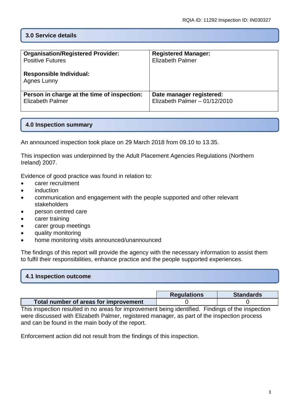## **3.0 Service details**

| <b>Organisation/Registered Provider:</b>      | <b>Registered Manager:</b>     |
|-----------------------------------------------|--------------------------------|
| <b>Positive Futures</b>                       | <b>Elizabeth Palmer</b>        |
| <b>Responsible Individual:</b><br>Agnes Lunny |                                |
| Person in charge at the time of inspection:   | Date manager registered:       |
| <b>Elizabeth Palmer</b>                       | Elizabeth Palmer $-01/12/2010$ |

## **4.0 Inspection summary**

An announced inspection took place on 29 March 2018 from 09.10 to 13.35.

This inspection was underpinned by the Adult Placement Agencies Regulations (Northern Ireland) 2007.

Evidence of good practice was found in relation to:

- carer recruitment
- induction
- communication and engagement with the people supported and other relevant stakeholders
- person centred care
- carer training
- carer group meetings
- quality monitoring
- home monitoring visits announced/unannounced

The findings of this report will provide the agency with the necessary information to assist them to fulfil their responsibilities, enhance practice and the people supported experiences.

## **4.1 Inspection outcome**

|                                       | <b>Requlations</b> | <b>Standards</b> |
|---------------------------------------|--------------------|------------------|
| Total number of areas for improvement |                    |                  |

This inspection resulted in no areas for improvement being identified. Findings of the inspection were discussed with Elizabeth Palmer, registered manager, as part of the inspection process and can be found in the main body of the report.

Enforcement action did not result from the findings of this inspection.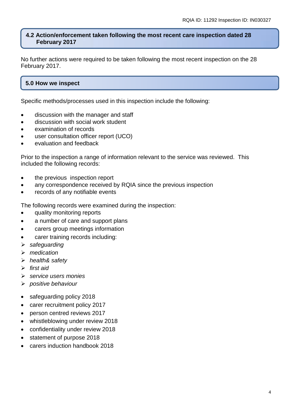#### **4.2 Action/enforcement taken following the most recent care inspection dated 28 February 2017**

No further actions were required to be taken following the most recent inspection on the 28 February 2017.

# **5.0 How we inspect**

Specific methods/processes used in this inspection include the following:

- discussion with the manager and staff
- discussion with social work student
- examination of records
- user consultation officer report (UCO)
- evaluation and feedback

Prior to the inspection a range of information relevant to the service was reviewed. This included the following records:

- the previous inspection report
- any correspondence received by RQIA since the previous inspection
- records of any notifiable events

The following records were examined during the inspection:

- quality monitoring reports
- a number of care and support plans
- carers group meetings information
- carer training records including:
- *safeguarding*
- *medication*
- *health& safety*
- *first aid*
- *service users monies*
- *positive behaviour*
- safeguarding policy 2018
- carer recruitment policy 2017
- person centred reviews 2017
- whistleblowing under review 2018
- confidentiality under review 2018
- statement of purpose 2018
- carers induction handbook 2018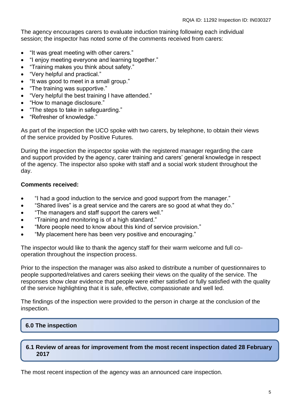The agency encourages carers to evaluate induction training following each individual session; the inspector has noted some of the comments received from carers:

- "It was great meeting with other carers."
- "I enjoy meeting everyone and learning together."
- "Training makes you think about safety."
- "Very helpful and practical."
- "It was good to meet in a small group."
- "The training was supportive."
- "Very helpful the best training I have attended."
- "How to manage disclosure."
- "The steps to take in safeguarding."
- "Refresher of knowledge."

As part of the inspection the UCO spoke with two carers, by telephone, to obtain their views of the service provided by Positive Futures.

During the inspection the inspector spoke with the registered manager regarding the care and support provided by the agency, carer training and carers' general knowledge in respect of the agency. The inspector also spoke with staff and a social work student throughout the day.

## **Comments received:**

- "I had a good induction to the service and good support from the manager."
- "Shared lives" is a great service and the carers are so good at what they do."
- "The managers and staff support the carers well."
- "Training and monitoring is of a high standard."
- "More people need to know about this kind of service provision."
- "My placement here has been very positive and encouraging."

The inspector would like to thank the agency staff for their warm welcome and full cooperation throughout the inspection process.

Prior to the inspection the manager was also asked to distribute a number of questionnaires to people supported/relatives and carers seeking their views on the quality of the service. The responses show clear evidence that people were either satisfied or fully satisfied with the quality of the service highlighting that it is safe, effective, compassionate and well led.

The findings of the inspection were provided to the person in charge at the conclusion of the inspection.

## **6.0 The inspection**

## **6.1 Review of areas for improvement from the most recent inspection dated 28 February 2017**

The most recent inspection of the agency was an announced care inspection.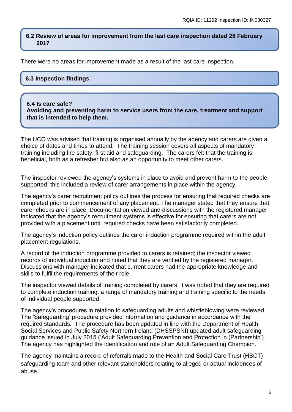#### **6.2 Review of areas for improvement from the last care inspection dated 28 February 2017**

There were no areas for improvement made as a result of the last care inspection.

## **6.3 Inspection findings**

#### **6.4 Is care safe?**

**Avoiding and preventing harm to service users from the care, treatment and support that is intended to help them.**

The UCO was advised that training is organised annually by the agency and carers are given a choice of dates and times to attend. The training session covers all aspects of mandatory training including fire safety, first aid and safeguarding. The carers felt that the training is beneficial, both as a refresher but also as an opportunity to meet other carers.

The inspector reviewed the agency's systems in place to avoid and prevent harm to the people supported; this included a review of carer arrangements in place within the agency.

The agency's carer recruitment policy outlines the process for ensuring that required checks are completed prior to commencement of any placement. The manager stated that they ensure that carer checks are in place. Documentation viewed and discussions with the registered manager indicated that the agency's recruitment systems is effective for ensuring that carers are not provided with a placement until required checks have been satisfactorily completed.

The agency's induction policy outlines the carer induction programme required within the adult placement regulations.

A record of the induction programme provided to carers is retained; the inspector viewed records of individual induction and noted that they are verified by the registered manager. Discussions with manager indicated that current carers had the appropriate knowledge and skills to fulfil the requirements of their role.

The inspector viewed details of training completed by carers; it was noted that they are required to complete induction training, a range of mandatory training and training specific to the needs of individual people supported.

The agency's procedures in relation to safeguarding adults and whistleblowing were reviewed. The 'Safeguarding' procedure provided information and guidance in accordance with the required standards. The procedure has been updated in line with the Department of Health, Social Services and Public Safety Northern Ireland (DHSSPSNI) updated adult safeguarding guidance issued in July 2015 ('Adult Safeguarding Prevention and Protection in (Partnership'). The agency has highlighted the identification and role of an Adult Safeguarding Champion.

The agency maintains a record of referrals made to the Health and Social Care Trust (HSCT) safeguarding team and other relevant stakeholders relating to alleged or actual incidences of abuse.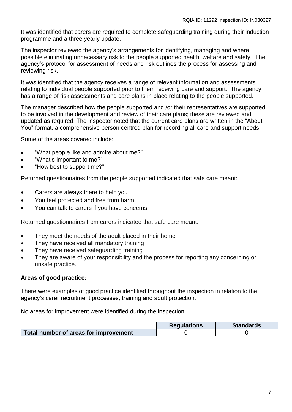It was identified that carers are required to complete safeguarding training during their induction programme and a three yearly update.

The inspector reviewed the agency's arrangements for identifying, managing and where possible eliminating unnecessary risk to the people supported health, welfare and safety. The agency's protocol for assessment of needs and risk outlines the process for assessing and reviewing risk.

It was identified that the agency receives a range of relevant information and assessments relating to individual people supported prior to them receiving care and support. The agency has a range of risk assessments and care plans in place relating to the people supported.

The manager described how the people supported and /or their representatives are supported to be involved in the development and review of their care plans; these are reviewed and updated as required. The inspector noted that the current care plans are written in the "About You" format, a comprehensive person centred plan for recording all care and support needs.

Some of the areas covered include:

- "What people like and admire about me?"
- "What's important to me?"
- "How best to support me?"

Returned questionnaires from the people supported indicated that safe care meant:

- Carers are always there to help you
- You feel protected and free from harm
- You can talk to carers if you have concerns.

Returned questionnaires from carers indicated that safe care meant:

- They meet the needs of the adult placed in their home
- They have received all mandatory training
- They have received safeguarding training
- They are aware of your responsibility and the process for reporting any concerning or unsafe practice.

#### **Areas of good practice:**

There were examples of good practice identified throughout the inspection in relation to the agency's carer recruitment processes, training and adult protection.

No areas for improvement were identified during the inspection.

|                                                                | <b>Requlations</b> | <b>Standards</b> |
|----------------------------------------------------------------|--------------------|------------------|
| Total number of areas for improvement $\overline{\phantom{a}}$ |                    |                  |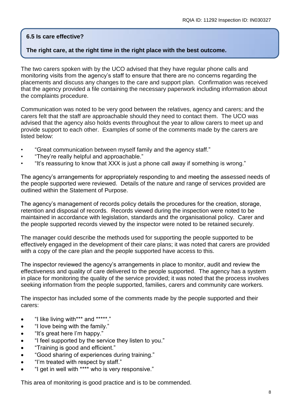## **6.5 Is care effective?**

## **The right care, at the right time in the right place with the best outcome.**

The two carers spoken with by the UCO advised that they have regular phone calls and monitoring visits from the agency's staff to ensure that there are no concerns regarding the placements and discuss any changes to the care and support plan. Confirmation was received that the agency provided a file containing the necessary paperwork including information about the complaints procedure.

Communication was noted to be very good between the relatives, agency and carers; and the carers felt that the staff are approachable should they need to contact them. The UCO was advised that the agency also holds events throughout the year to allow carers to meet up and provide support to each other. Examples of some of the comments made by the carers are listed below:

- "Great communication between myself family and the agency staff."
- "They're really helpful and approachable."
- "It's reassuring to know that XXX is just a phone call away if something is wrong."

The agency's arrangements for appropriately responding to and meeting the assessed needs of the people supported were reviewed. Details of the nature and range of services provided are outlined within the Statement of Purpose.

The agency's management of records policy details the procedures for the creation, storage, retention and disposal of records. Records viewed during the inspection were noted to be maintained in accordance with legislation, standards and the organisational policy. Carer and the people supported records viewed by the inspector were noted to be retained securely.

The manager could describe the methods used for supporting the people supported to be effectively engaged in the development of their care plans; it was noted that carers are provided with a copy of the care plan and the people supported have access to this.

The inspector reviewed the agency's arrangements in place to monitor, audit and review the effectiveness and quality of care delivered to the people supported. The agency has a system in place for monitoring the quality of the service provided; it was noted that the process involves seeking information from the people supported, families, carers and community care workers.

The inspector has included some of the comments made by the people supported and their carers:

- "I like living with\*\*\* and \*\*\*\*\*."
- "I love being with the family."
- "It's great here I'm happy."
- "I feel supported by the service they listen to you."
- "Training is good and efficient."
- "Good sharing of experiences during training."
- "I'm treated with respect by staff."
- "I get in well with \*\*\*\* who is very responsive."

This area of monitoring is good practice and is to be commended.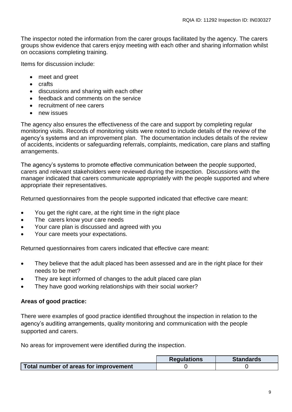The inspector noted the information from the carer groups facilitated by the agency. The carers groups show evidence that carers enjoy meeting with each other and sharing information whilst on occasions completing training.

Items for discussion include:

- meet and greet
- crafts
- discussions and sharing with each other
- feedback and comments on the service
- recruitment of nee carers
- new issues

The agency also ensures the effectiveness of the care and support by completing regular monitoring visits. Records of monitoring visits were noted to include details of the review of the agency's systems and an improvement plan. The documentation includes details of the review of accidents, incidents or safeguarding referrals, complaints, medication, care plans and staffing arrangements.

The agency's systems to promote effective communication between the people supported, carers and relevant stakeholders were reviewed during the inspection. Discussions with the manager indicated that carers communicate appropriately with the people supported and where appropriate their representatives.

Returned questionnaires from the people supported indicated that effective care meant:

- You get the right care, at the right time in the right place
- The carers know your care needs
- Your care plan is discussed and agreed with you
- Your care meets your expectations.

Returned questionnaires from carers indicated that effective care meant:

- They believe that the adult placed has been assessed and are in the right place for their needs to be met?
- They are kept informed of changes to the adult placed care plan
- They have good working relationships with their social worker?

#### **Areas of good practice:**

There were examples of good practice identified throughout the inspection in relation to the agency's auditing arrangements, quality monitoring and communication with the people supported and carers.

No areas for improvement were identified during the inspection.

|                                       | <b>Regulations</b> | <b>Standards</b> |
|---------------------------------------|--------------------|------------------|
| Total number of areas for improvement |                    |                  |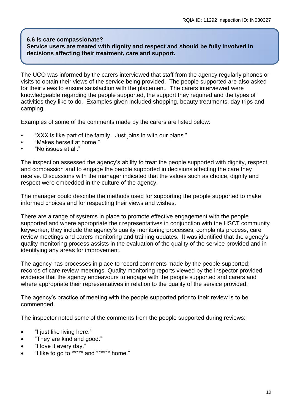#### **6.6 Is care compassionate? Service users are treated with dignity and respect and should be fully involved in decisions affecting their treatment, care and support.**

The UCO was informed by the carers interviewed that staff from the agency regularly phones or visits to obtain their views of the service being provided. The people supported are also asked for their views to ensure satisfaction with the placement. The carers interviewed were knowledgeable regarding the people supported, the support they required and the types of activities they like to do. Examples given included shopping, beauty treatments, day trips and camping.

Examples of some of the comments made by the carers are listed below:

- "XXX is like part of the family. Just joins in with our plans."
- "Makes herself at home."
- "No issues at all."

The inspection assessed the agency's ability to treat the people supported with dignity, respect and compassion and to engage the people supported in decisions affecting the care they receive. Discussions with the manager indicated that the values such as choice, dignity and respect were embedded in the culture of the agency.

The manager could describe the methods used for supporting the people supported to make informed choices and for respecting their views and wishes.

There are a range of systems in place to promote effective engagement with the people supported and where appropriate their representatives in conjunction with the HSCT community keyworker; they include the agency's quality monitoring processes; complaints process, care review meetings and carers monitoring and training updates. It was identified that the agency's quality monitoring process assists in the evaluation of the quality of the service provided and in identifying any areas for improvement.

The agency has processes in place to record comments made by the people supported; records of care review meetings. Quality monitoring reports viewed by the inspector provided evidence that the agency endeavours to engage with the people supported and carers and where appropriate their representatives in relation to the quality of the service provided.

The agency's practice of meeting with the people supported prior to their review is to be commended.

The inspector noted some of the comments from the people supported during reviews:

- "I just like living here."
- "They are kind and good."
- "I love it every day."
- "I like to go to \*\*\*\*\* and \*\*\*\*\*\* home."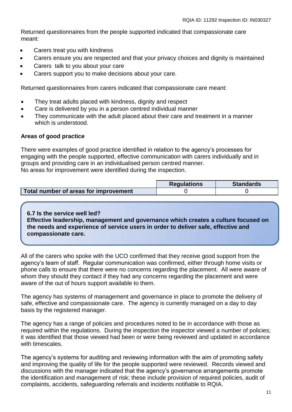Returned questionnaires from the people supported indicated that compassionate care meant:

- Carers treat you with kindness
- Carers ensure you are respected and that your privacy choices and dignity is maintained
- Carers talk to you about your care
- Carers support you to make decisions about your care.

Returned questionnaires from carers indicated that compassionate care meant:

- They treat adults placed with kindness, dignity and respect
- Care is delivered by you in a person centred individual manner
- They communicate with the adult placed about their care and treatment in a manner which is understood.

#### **Areas of good practice**

There were examples of good practice identified in relation to the agency's processes for engaging with the people supported, effective communication with carers individually and in groups and providing care in an individualised person centred manner. No areas for improvement were identified during the inspection.

|                                       | <b>Requlations</b> | <b>Standards</b> |
|---------------------------------------|--------------------|------------------|
| Total number of areas for improvement |                    |                  |

**6.7 Is the service well led? Effective leadership, management and governance which creates a culture focused on the needs and experience of service users in order to deliver safe, effective and compassionate care.**

All of the carers who spoke with the UCO confirmed that they receive good support from the agency's team of staff. Regular communication was confirmed, either through home visits or phone calls to ensure that there were no concerns regarding the placement. All were aware of whom they should they contact if they had any concerns regarding the placement and were aware of the out of hours support available to them.

The agency has systems of management and governance in place to promote the delivery of safe, effective and compassionate care. The agency is currently managed on a day to day basis by the registered manager.

The agency has a range of policies and procedures noted to be in accordance with those as required within the regulations. During the inspection the inspector viewed a number of policies; it was identified that those viewed had been or were being reviewed and updated in accordance with timescales.

The agency's systems for auditing and reviewing information with the aim of promoting safety and improving the quality of life for the people supported were reviewed. Records viewed and discussions with the manager indicated that the agency's governance arrangements promote the identification and management of risk; these include provision of required policies, audit of complaints, accidents, safeguarding referrals and incidents notifiable to RQIA.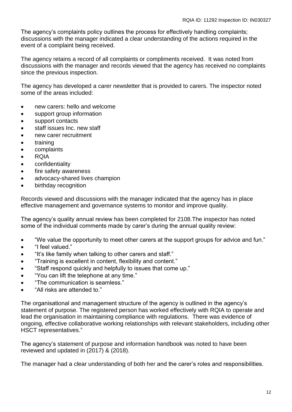The agency's complaints policy outlines the process for effectively handling complaints; discussions with the manager indicated a clear understanding of the actions required in the event of a complaint being received.

The agency retains a record of all complaints or compliments received. It was noted from discussions with the manager and records viewed that the agency has received no complaints since the previous inspection.

The agency has developed a carer newsletter that is provided to carers. The inspector noted some of the areas included:

- new carers: hello and welcome
- support group information
- support contacts
- staff issues Inc. new staff
- new carer recruitment
- training
- complaints
- ROIA
- **•** confidentiality
- fire safety awareness
- advocacy-shared lives champion
- birthday recognition

Records viewed and discussions with the manager indicated that the agency has in place effective management and governance systems to monitor and improve quality.

The agency's quality annual review has been completed for 2108.The inspector has noted some of the individual comments made by carer's during the annual quality review:

- "We value the opportunity to meet other carers at the support groups for advice and fun."
- "I feel valued."
- "It's like family when talking to other carers and staff."
- "Training is excellent in content, flexibility and content."
- "Staff respond quickly and helpfully to issues that come up."
- "You can lift the telephone at any time."
- "The communication is seamless."
- "All risks are attended to."

The organisational and management structure of the agency is outlined in the agency's statement of purpose. The registered person has worked effectively with RQIA to operate and lead the organisation in maintaining compliance with regulations. There was evidence of ongoing, effective collaborative working relationships with relevant stakeholders, including other HSCT representatives."

The agency's statement of purpose and information handbook was noted to have been reviewed and updated in (2017) & (2018).

The manager had a clear understanding of both her and the carer's roles and responsibilities.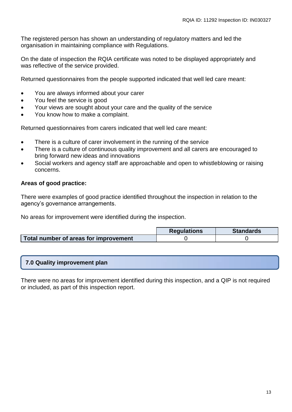The registered person has shown an understanding of regulatory matters and led the organisation in maintaining compliance with Regulations.

On the date of inspection the RQIA certificate was noted to be displayed appropriately and was reflective of the service provided.

Returned questionnaires from the people supported indicated that well led care meant:

- You are always informed about your carer
- You feel the service is good
- Your views are sought about your care and the quality of the service
- You know how to make a complaint.

Returned questionnaires from carers indicated that well led care meant:

- There is a culture of carer involvement in the running of the service
- There is a culture of continuous quality improvement and all carers are encouraged to bring forward new ideas and innovations
- Social workers and agency staff are approachable and open to whistleblowing or raising concerns.

## **Areas of good practice:**

There were examples of good practice identified throughout the inspection in relation to the agency's governance arrangements.

No areas for improvement were identified during the inspection.

|                                       | <b>Regulations</b> | <b>Standards</b> |
|---------------------------------------|--------------------|------------------|
| Total number of areas for improvement |                    |                  |

#### **7.0 Quality improvement plan**

There were no areas for improvement identified during this inspection, and a QIP is not required or included, as part of this inspection report.